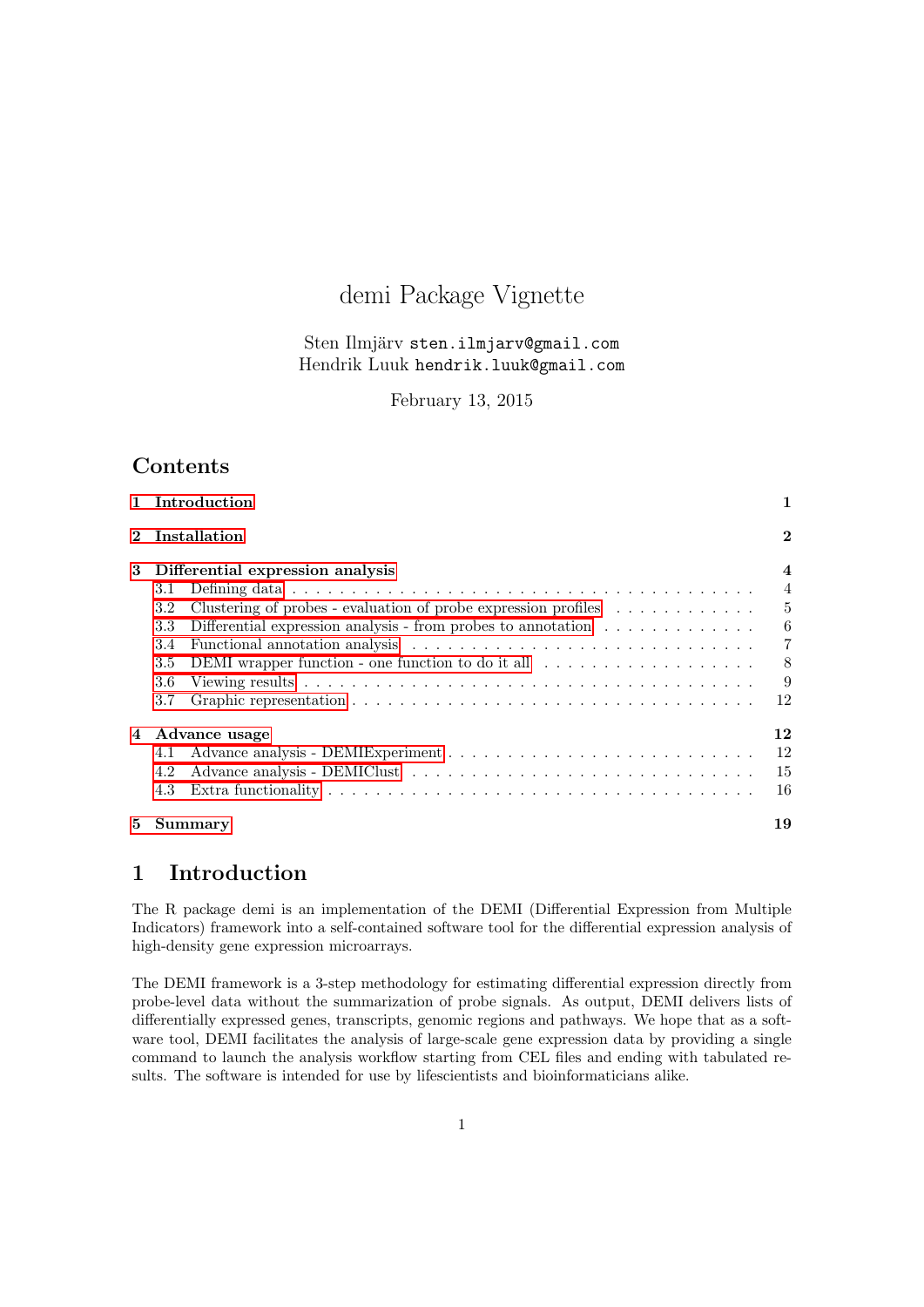# demi Package Vignette

#### Sten Ilmjärv sten.ilmjarv@gmail.com Hendrik Luuk hendrik.luuk@gmail.com

February 13, 2015

## Contents

|             | 1 Introduction                                                                                      | 1              |  |  |  |  |  |  |
|-------------|-----------------------------------------------------------------------------------------------------|----------------|--|--|--|--|--|--|
| $\mathbf 2$ | Installation                                                                                        | $\bf{2}$       |  |  |  |  |  |  |
| 3           | Differential expression analysis                                                                    | $\overline{4}$ |  |  |  |  |  |  |
|             | 3.1                                                                                                 | $\overline{4}$ |  |  |  |  |  |  |
|             | Clustering of probes - evaluation of probe expression profiles $\ldots \ldots \ldots \ldots$<br>3.2 | $\overline{5}$ |  |  |  |  |  |  |
|             | Differential expression analysis - from probes to annotation $\dots \dots \dots \dots$<br>3.3       | $-6$           |  |  |  |  |  |  |
|             | 3.4                                                                                                 | $\overline{7}$ |  |  |  |  |  |  |
|             | DEMI wrapper function - one function to do it all $\ldots \ldots \ldots \ldots \ldots$<br>3.5       | 8              |  |  |  |  |  |  |
|             | 3.6                                                                                                 | 9              |  |  |  |  |  |  |
|             | 3.7                                                                                                 | 12             |  |  |  |  |  |  |
| 4           | Advance usage                                                                                       |                |  |  |  |  |  |  |
|             | 4.1                                                                                                 | 12             |  |  |  |  |  |  |
|             | 4.2                                                                                                 | 15             |  |  |  |  |  |  |
|             | 4.3                                                                                                 | 16             |  |  |  |  |  |  |
| 5           | Summary                                                                                             | 19             |  |  |  |  |  |  |

## <span id="page-0-0"></span>1 Introduction

The R package demi is an implementation of the DEMI (Differential Expression from Multiple Indicators) framework into a self-contained software tool for the differential expression analysis of high-density gene expression microarrays.

The DEMI framework is a 3-step methodology for estimating differential expression directly from probe-level data without the summarization of probe signals. As output, DEMI delivers lists of differentially expressed genes, transcripts, genomic regions and pathways. We hope that as a software tool, DEMI facilitates the analysis of large-scale gene expression data by providing a single command to launch the analysis workflow starting from CEL files and ending with tabulated results. The software is intended for use by lifescientists and bioinformaticians alike.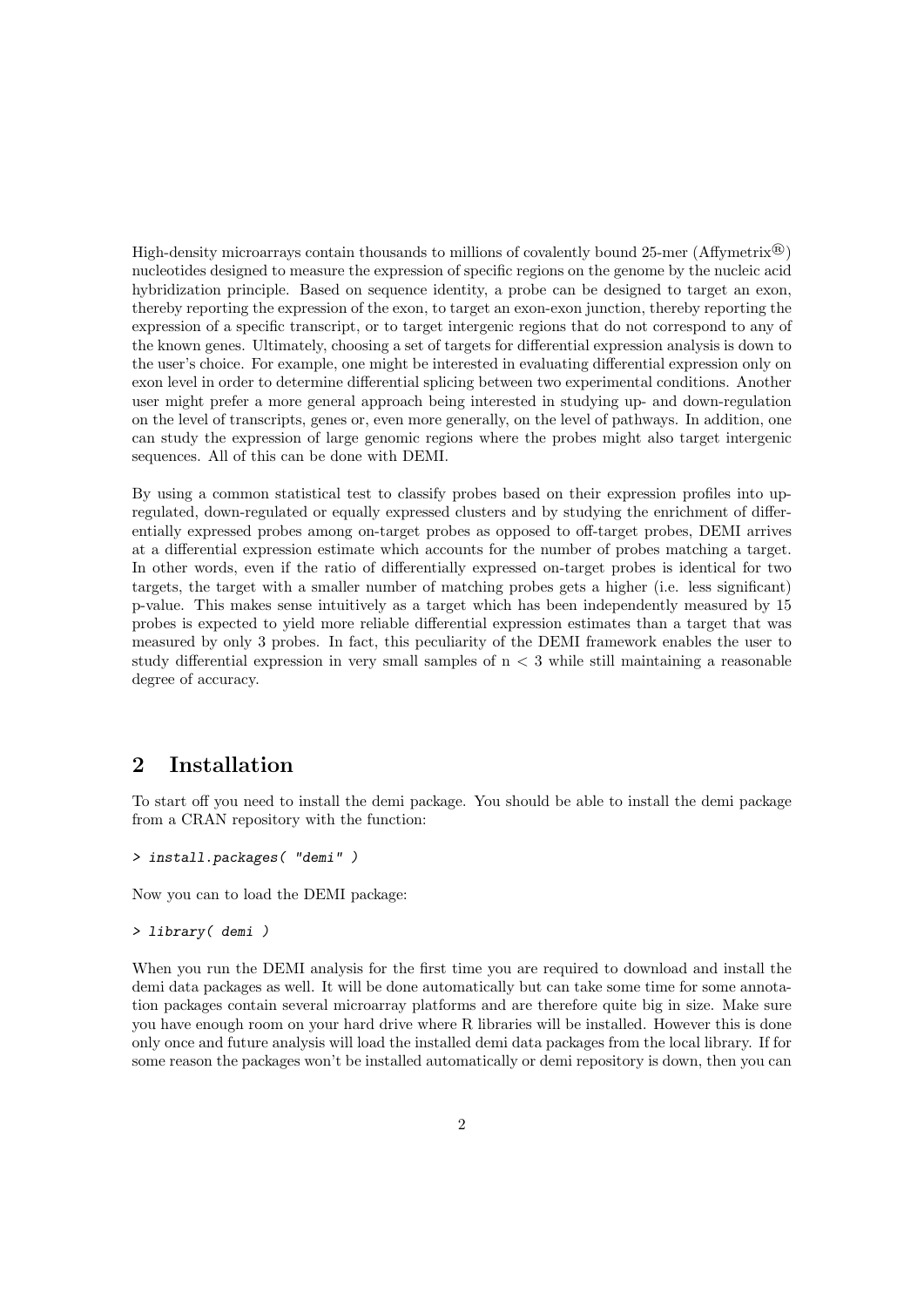High-density microarrays contain thousands to millions of covalently bound 25-mer (Affymetrix<sup>®</sup>) nucleotides designed to measure the expression of specific regions on the genome by the nucleic acid hybridization principle. Based on sequence identity, a probe can be designed to target an exon, thereby reporting the expression of the exon, to target an exon-exon junction, thereby reporting the expression of a specific transcript, or to target intergenic regions that do not correspond to any of the known genes. Ultimately, choosing a set of targets for differential expression analysis is down to the user's choice. For example, one might be interested in evaluating differential expression only on exon level in order to determine differential splicing between two experimental conditions. Another user might prefer a more general approach being interested in studying up- and down-regulation on the level of transcripts, genes or, even more generally, on the level of pathways. In addition, one can study the expression of large genomic regions where the probes might also target intergenic sequences. All of this can be done with DEMI.

By using a common statistical test to classify probes based on their expression profiles into upregulated, down-regulated or equally expressed clusters and by studying the enrichment of differentially expressed probes among on-target probes as opposed to off-target probes, DEMI arrives at a differential expression estimate which accounts for the number of probes matching a target. In other words, even if the ratio of differentially expressed on-target probes is identical for two targets, the target with a smaller number of matching probes gets a higher (i.e. less significant) p-value. This makes sense intuitively as a target which has been independently measured by 15 probes is expected to yield more reliable differential expression estimates than a target that was measured by only 3 probes. In fact, this peculiarity of the DEMI framework enables the user to study differential expression in very small samples of n < 3 while still maintaining a reasonable degree of accuracy.

## <span id="page-1-0"></span>2 Installation

To start off you need to install the demi package. You should be able to install the demi package from a CRAN repository with the function:

```
> install.packages( "demi" )
```
Now you can to load the DEMI package:

```
> library( demi )
```
When you run the DEMI analysis for the first time you are required to download and install the demi data packages as well. It will be done automatically but can take some time for some annotation packages contain several microarray platforms and are therefore quite big in size. Make sure you have enough room on your hard drive where R libraries will be installed. However this is done only once and future analysis will load the installed demi data packages from the local library. If for some reason the packages won't be installed automatically or demi repository is down, then you can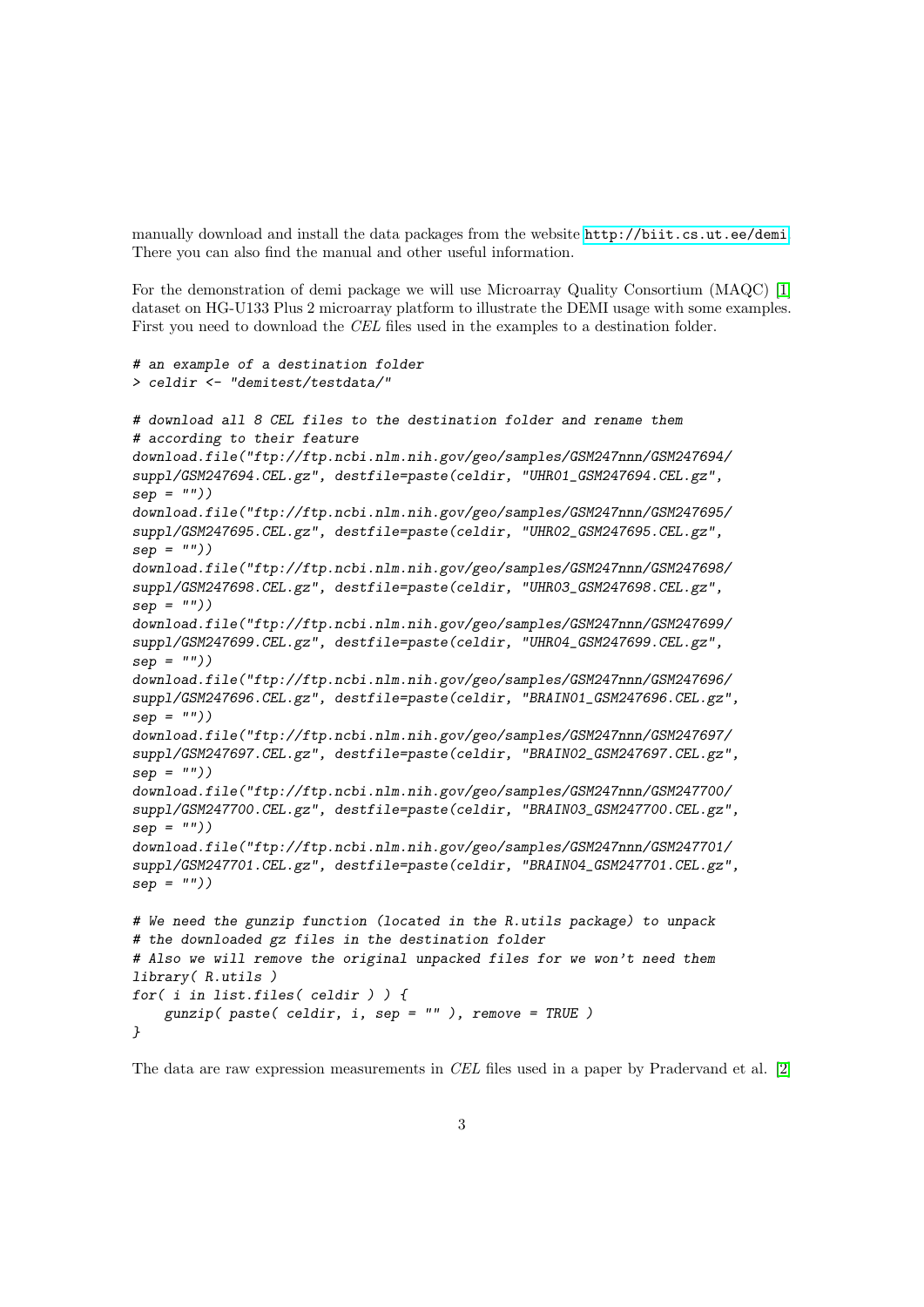manually download and install the data packages from the website <http://biit.cs.ut.ee/demi>. There you can also find the manual and other useful information.

For the demonstration of demi package we will use Microarray Quality Consortium (MAQC) [\[1\]](#page-18-1) dataset on HG-U133 Plus 2 microarray platform to illustrate the DEMI usage with some examples. First you need to download the CEL files used in the examples to a destination folder.

```
# an example of a destination folder
> celdir <- "demitest/testdata/"
# download all 8 CEL files to the destination folder and rename them
# according to their feature
download.file("ftp://ftp.ncbi.nlm.nih.gov/geo/samples/GSM247nnn/GSM247694/
suppl/GSM247694.CEL.gz", destfile=paste(celdir, "UHR01_GSM247694.CEL.gz",
sep = "")download.file("ftp://ftp.ncbi.nlm.nih.gov/geo/samples/GSM247nnn/GSM247695/
suppl/GSM247695.CEL.gz", destfile=paste(celdir, "UHR02_GSM247695.CEL.gz",
sep = "")download.file("ftp://ftp.ncbi.nlm.nih.gov/geo/samples/GSM247nnn/GSM247698/
suppl/GSM247698.CEL.gz", destfile=paste(celdir, "UHR03_GSM247698.CEL.gz",
sep = "")download.file("ftp://ftp.ncbi.nlm.nih.gov/geo/samples/GSM247nnn/GSM247699/
suppl/GSM247699.CEL.gz", destfile=paste(celdir, "UHR04_GSM247699.CEL.gz",
sep = "")download.file("ftp://ftp.ncbi.nlm.nih.gov/geo/samples/GSM247nnn/GSM247696/
suppl/GSM247696.CEL.gz", destfile=paste(celdir, "BRAIN01_GSM247696.CEL.gz",
sep = "")download.file("ftp://ftp.ncbi.nlm.nih.gov/geo/samples/GSM247nnn/GSM247697/
suppl/GSM247697.CEL.gz", destfile=paste(celdir, "BRAIN02_GSM247697.CEL.gz",
sep = "")download.file("ftp://ftp.ncbi.nlm.nih.gov/geo/samples/GSM247nnn/GSM247700/
suppl/GSM247700.CEL.gz", destfile=paste(celdir, "BRAIN03_GSM247700.CEL.gz",
sep = "")download.file("ftp://ftp.ncbi.nlm.nih.gov/geo/samples/GSM247nnn/GSM247701/
suppl/GSM247701.CEL.gz", destfile=paste(celdir, "BRAIN04_GSM247701.CEL.gz",
sep = "")# We need the gunzip function (located in the R.utils package) to unpack
# the downloaded gz files in the destination folder
# Also we will remove the original unpacked files for we won't need them
library( R.utils )
for( i in list.files( celdir ) ) {
    gunzip( paste( celdir, i, sep = "), remove = TRUE)
}
```
The data are raw expression measurements in CEL files used in a paper by Pradervand et al. [\[2\]](#page-18-2)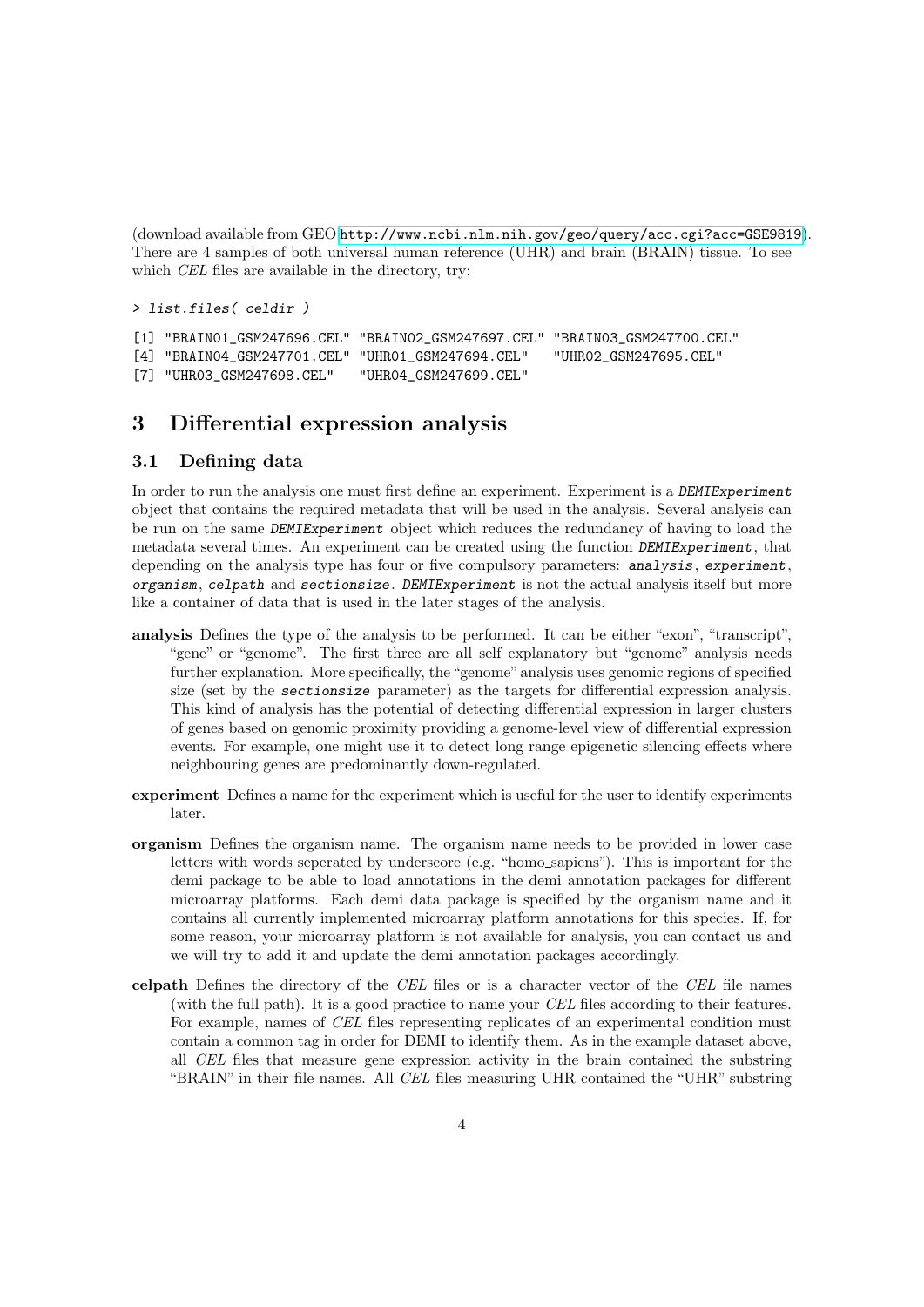(download available from GEO <http://www.ncbi.nlm.nih.gov/geo/query/acc.cgi?acc=GSE9819>). There are 4 samples of both universal human reference (UHR) and brain (BRAIN) tissue. To see which *CEL* files are available in the directory, try:

> list.files( celdir )

```
[1] "BRAIN01_GSM247696.CEL" "BRAIN02_GSM247697.CEL" "BRAIN03_GSM247700.CEL"
[4] "BRAIN04_GSM247701.CEL" "UHR01_GSM247694.CEL" "UHR02_GSM247695.CEL"
[7] "UHR03_GSM247698.CEL" "UHR04_GSM247699.CEL"
```
## <span id="page-3-0"></span>3 Differential expression analysis

#### <span id="page-3-1"></span>3.1 Defining data

In order to run the analysis one must first define an experiment. Experiment is a DEMIExperiment object that contains the required metadata that will be used in the analysis. Several analysis can be run on the same DEMIExperiment object which reduces the redundancy of having to load the metadata several times. An experiment can be created using the function DEMIExperiment, that depending on the analysis type has four or five compulsory parameters: analysis, experiment, organism, celpath and sectionsize. DEMIExperiment is not the actual analysis itself but more like a container of data that is used in the later stages of the analysis.

- analysis Defines the type of the analysis to be performed. It can be either "exon", "transcript", "gene" or "genome". The first three are all self explanatory but "genome" analysis needs further explanation. More specifically, the "genome" analysis uses genomic regions of specified size (set by the sectionsize parameter) as the targets for differential expression analysis. This kind of analysis has the potential of detecting differential expression in larger clusters of genes based on genomic proximity providing a genome-level view of differential expression events. For example, one might use it to detect long range epigenetic silencing effects where neighbouring genes are predominantly down-regulated.
- experiment Defines a name for the experiment which is useful for the user to identify experiments later.
- organism Defines the organism name. The organism name needs to be provided in lower case letters with words seperated by underscore (e.g. "homo sapiens"). This is important for the demi package to be able to load annotations in the demi annotation packages for different microarray platforms. Each demi data package is specified by the organism name and it contains all currently implemented microarray platform annotations for this species. If, for some reason, your microarray platform is not available for analysis, you can contact us and we will try to add it and update the demi annotation packages accordingly.
- celpath Defines the directory of the CEL files or is a character vector of the CEL file names (with the full path). It is a good practice to name your CEL files according to their features. For example, names of CEL files representing replicates of an experimental condition must contain a common tag in order for DEMI to identify them. As in the example dataset above, all CEL files that measure gene expression activity in the brain contained the substring "BRAIN" in their file names. All CEL files measuring UHR contained the "UHR" substring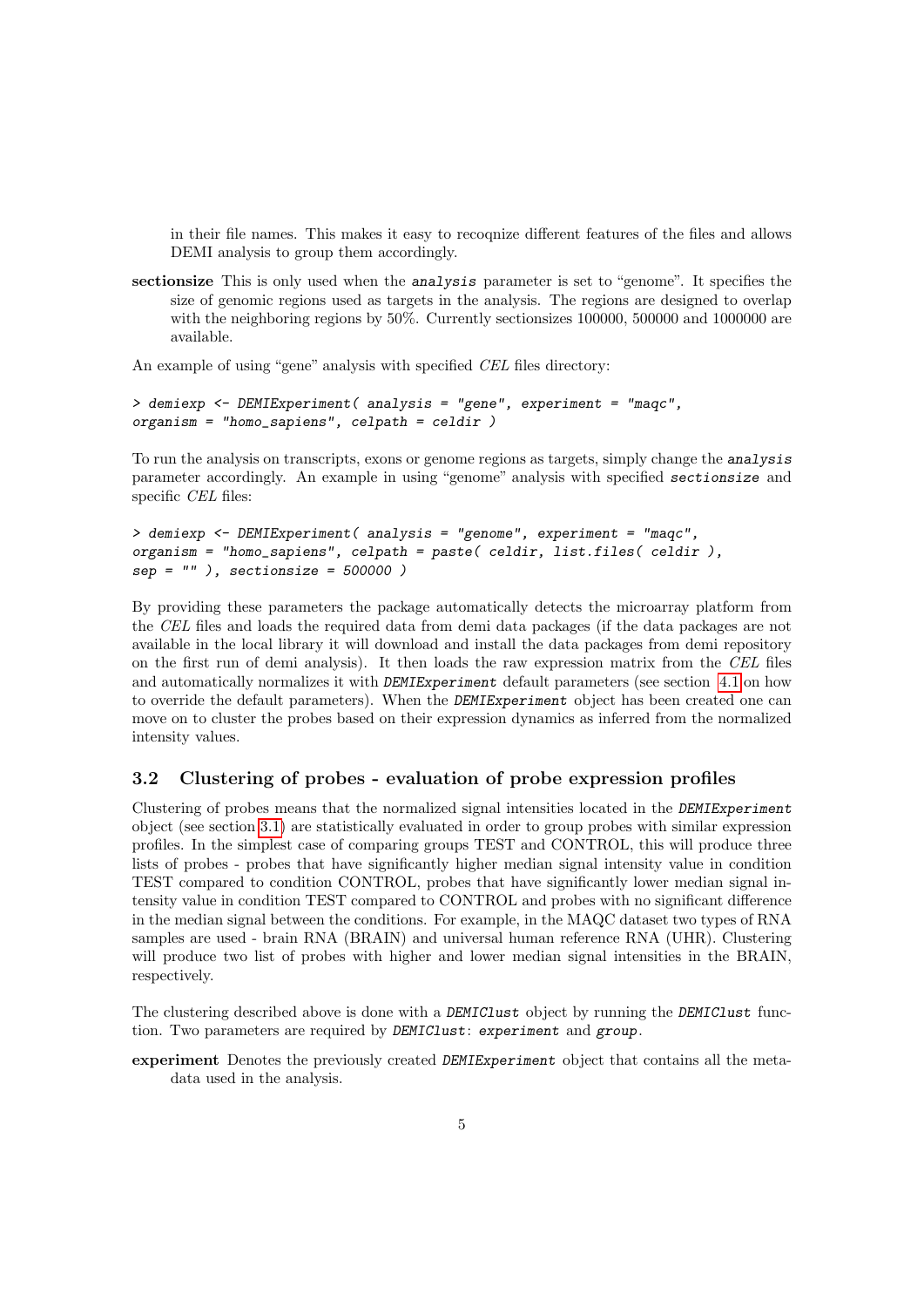in their file names. This makes it easy to recoqnize different features of the files and allows DEMI analysis to group them accordingly.

sectionsize This is only used when the analysis parameter is set to "genome". It specifies the size of genomic regions used as targets in the analysis. The regions are designed to overlap with the neighboring regions by 50%. Currently sectionsizes 100000, 500000 and 1000000 are available.

An example of using "gene" analysis with specified CEL files directory:

```
> demiexp <- DEMIExperiment( analysis = "gene", experiment = "maqc",
organism = "homo_sapiens", celpath = celdir )
```
To run the analysis on transcripts, exons or genome regions as targets, simply change the analysis parameter accordingly. An example in using "genome" analysis with specified sectionsize and specific CEL files:

```
> demiexp <- DEMIExperiment( analysis = "genome", experiment = "maqc",
organism = "homo_sapiens", celpath = paste( celdir, list.files( celdir ),
sep = " " ], sectionsize = 500000 )
```
By providing these parameters the package automatically detects the microarray platform from the CEL files and loads the required data from demi data packages (if the data packages are not available in the local library it will download and install the data packages from demi repository on the first run of demi analysis). It then loads the raw expression matrix from the CEL files and automatically normalizes it with *DEMIExperiment* default parameters (see section [4.1](#page-11-2) on how to override the default parameters). When the DEMIExperiment object has been created one can move on to cluster the probes based on their expression dynamics as inferred from the normalized intensity values.

#### <span id="page-4-0"></span>3.2 Clustering of probes - evaluation of probe expression profiles

Clustering of probes means that the normalized signal intensities located in the DEMIExperiment object (see section [3.1\)](#page-3-1) are statistically evaluated in order to group probes with similar expression profiles. In the simplest case of comparing groups TEST and CONTROL, this will produce three lists of probes - probes that have significantly higher median signal intensity value in condition TEST compared to condition CONTROL, probes that have significantly lower median signal intensity value in condition TEST compared to CONTROL and probes with no significant difference in the median signal between the conditions. For example, in the MAQC dataset two types of RNA samples are used - brain RNA (BRAIN) and universal human reference RNA (UHR). Clustering will produce two list of probes with higher and lower median signal intensities in the BRAIN, respectively.

The clustering described above is done with a DEMIClust object by running the DEMIClust function. Two parameters are required by DEMIClust: experiment and group.

experiment Denotes the previously created DEMIExperiment object that contains all the metadata used in the analysis.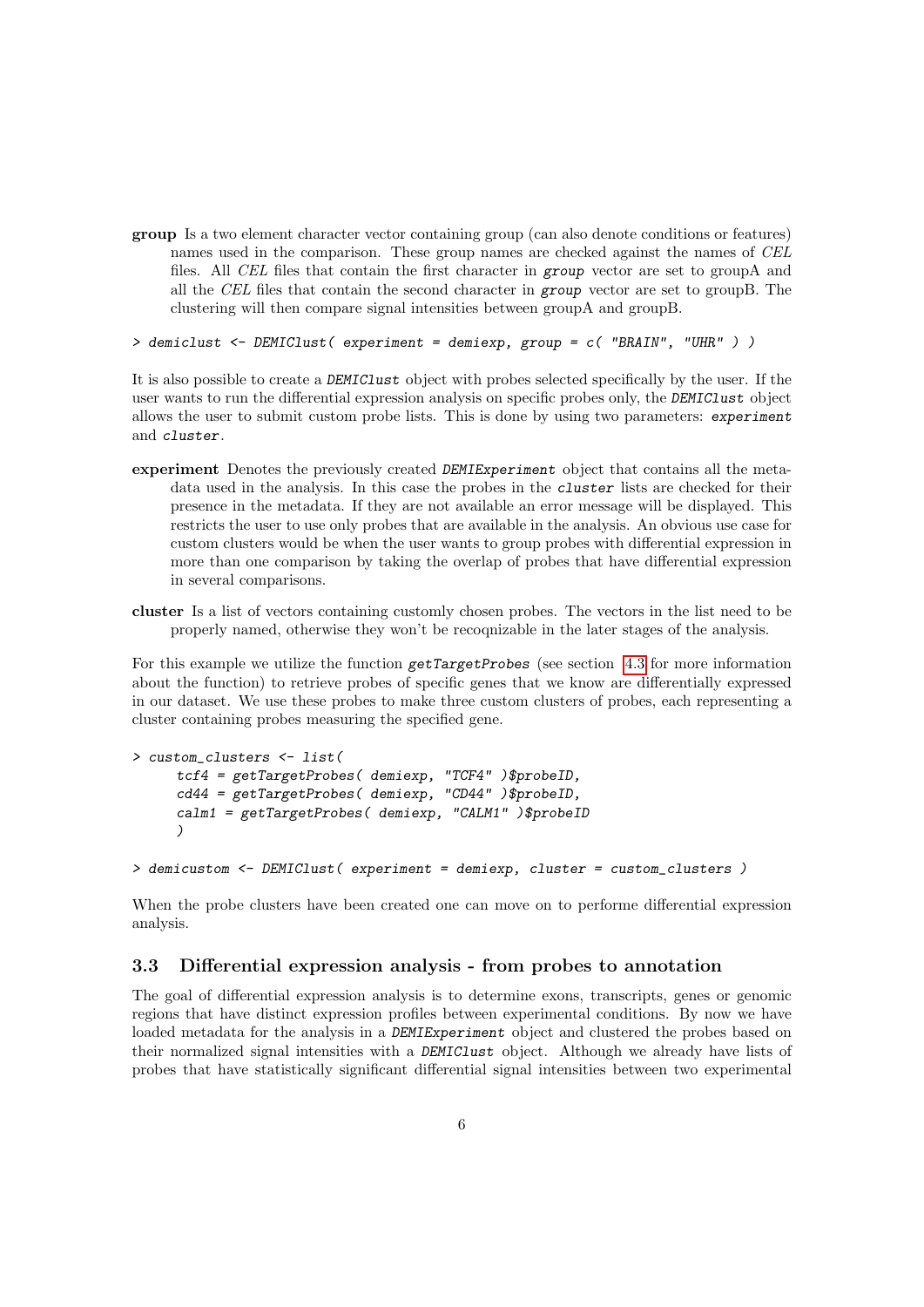group Is a two element character vector containing group (can also denote conditions or features) names used in the comparison. These group names are checked against the names of CEL files. All CEL files that contain the first character in group vector are set to groupA and all the CEL files that contain the second character in group vector are set to groupB. The clustering will then compare signal intensities between groupA and groupB.

> demiclust <- DEMIClust( experiment = demiexp, group = c( "BRAIN", "UHR" ) )

It is also possible to create a DEMIClust object with probes selected specifically by the user. If the user wants to run the differential expression analysis on specific probes only, the DEMIClust object allows the user to submit custom probe lists. This is done by using two parameters: experiment and cluster.

- experiment Denotes the previously created DEMIExperiment object that contains all the metadata used in the analysis. In this case the probes in the cluster lists are checked for their presence in the metadata. If they are not available an error message will be displayed. This restricts the user to use only probes that are available in the analysis. An obvious use case for custom clusters would be when the user wants to group probes with differential expression in more than one comparison by taking the overlap of probes that have differential expression in several comparisons.
- cluster Is a list of vectors containing customly chosen probes. The vectors in the list need to be properly named, otherwise they won't be recoqnizable in the later stages of the analysis.

For this example we utilize the function  $getTargetProbes$  (see section [4.3](#page-15-0) for more information about the function) to retrieve probes of specific genes that we know are differentially expressed in our dataset. We use these probes to make three custom clusters of probes, each representing a cluster containing probes measuring the specified gene.

```
> custom_clusters <- list(
     tcf4 = getTargetProbes( demiexp, "TCF4" )$probeID,
     cd44 = getTargetProbes( demiexp, "CD44" )$probeID,
     calm1 = getTargetProbes( demiexp, "CALM1" )$probeID
     )
```

```
> demicustom <- DEMIClust( experiment = demiexp, cluster = custom_clusters )
```
When the probe clusters have been created one can move on to performe differential expression analysis.

#### <span id="page-5-0"></span>3.3 Differential expression analysis - from probes to annotation

The goal of differential expression analysis is to determine exons, transcripts, genes or genomic regions that have distinct expression profiles between experimental conditions. By now we have loaded metadata for the analysis in a DEMIExperiment object and clustered the probes based on their normalized signal intensities with a DEMIClust object. Although we already have lists of probes that have statistically significant differential signal intensities between two experimental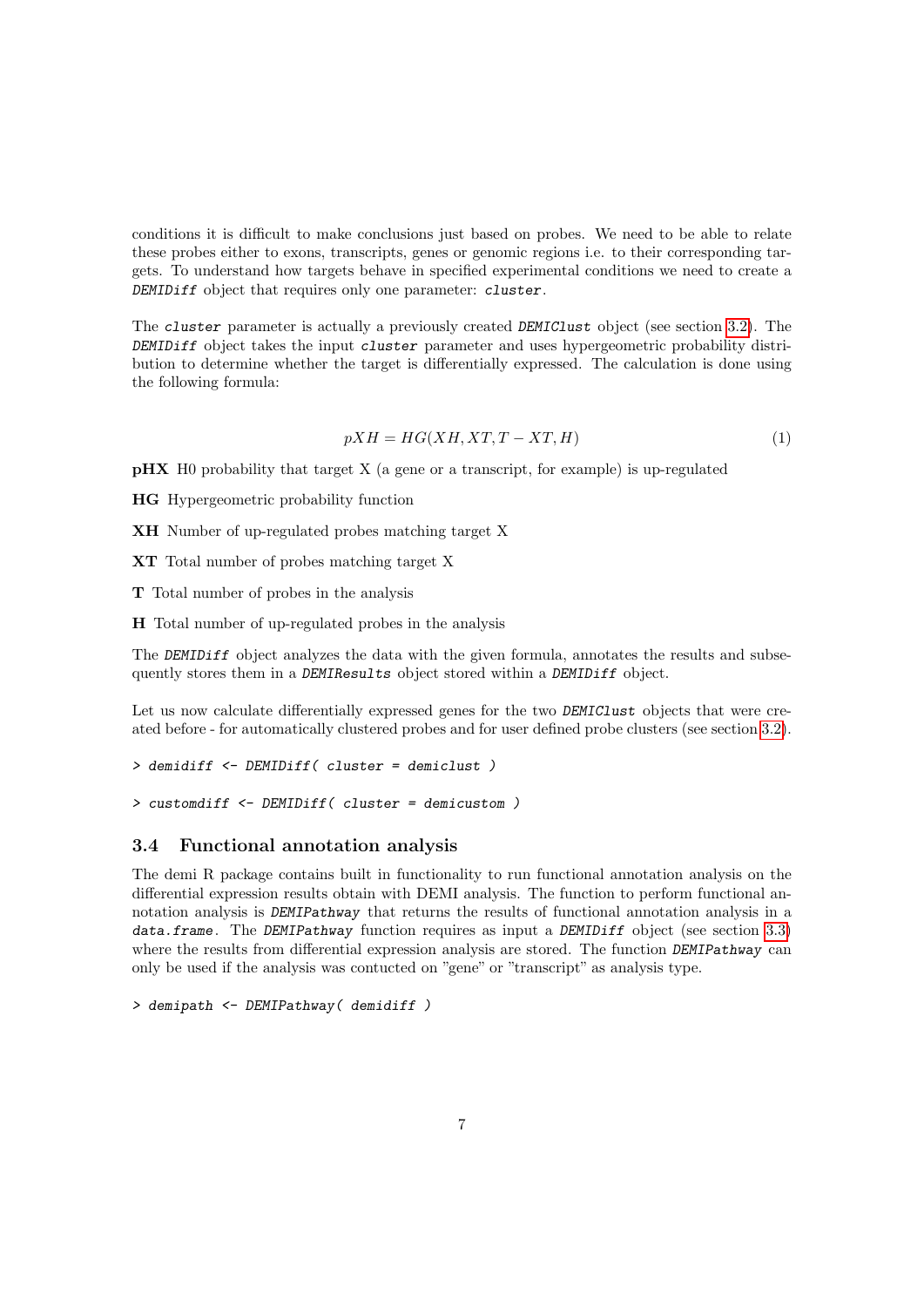conditions it is difficult to make conclusions just based on probes. We need to be able to relate these probes either to exons, transcripts, genes or genomic regions i.e. to their corresponding targets. To understand how targets behave in specified experimental conditions we need to create a DEMIDiff object that requires only one parameter: cluster.

The cluster parameter is actually a previously created DEMIClust object (see section [3.2\)](#page-4-0). The DEMIDiff object takes the input cluster parameter and uses hypergeometric probability distribution to determine whether the target is differentially expressed. The calculation is done using the following formula:

$$
pXH = HG(XH, XT, T - XT, H)
$$
\n<sup>(1)</sup>

pHX H0 probability that target X (a gene or a transcript, for example) is up-regulated

HG Hypergeometric probability function

XH Number of up-regulated probes matching target X

XT Total number of probes matching target X

T Total number of probes in the analysis

H Total number of up-regulated probes in the analysis

The DEMIDiff object analyzes the data with the given formula, annotates the results and subsequently stores them in a DEMIResults object stored within a DEMIDiff object.

Let us now calculate differentially expressed genes for the two DEMIClust objects that were created before - for automatically clustered probes and for user defined probe clusters (see section [3.2\)](#page-4-0).

```
> demidiff <- DEMIDiff( cluster = demiclust )
```
> customdiff <- DEMIDiff( cluster = demicustom )

#### <span id="page-6-0"></span>3.4 Functional annotation analysis

The demi R package contains built in functionality to run functional annotation analysis on the differential expression results obtain with DEMI analysis. The function to perform functional annotation analysis is DEMIPathway that returns the results of functional annotation analysis in a data.frame. The DEMIPathway function requires as input a DEMIDiff object (see section [3.3\)](#page-5-0) where the results from differential expression analysis are stored. The function DEMIPathway can only be used if the analysis was contucted on "gene" or "transcript" as analysis type.

```
> demipath <- DEMIPathway( demidiff )
```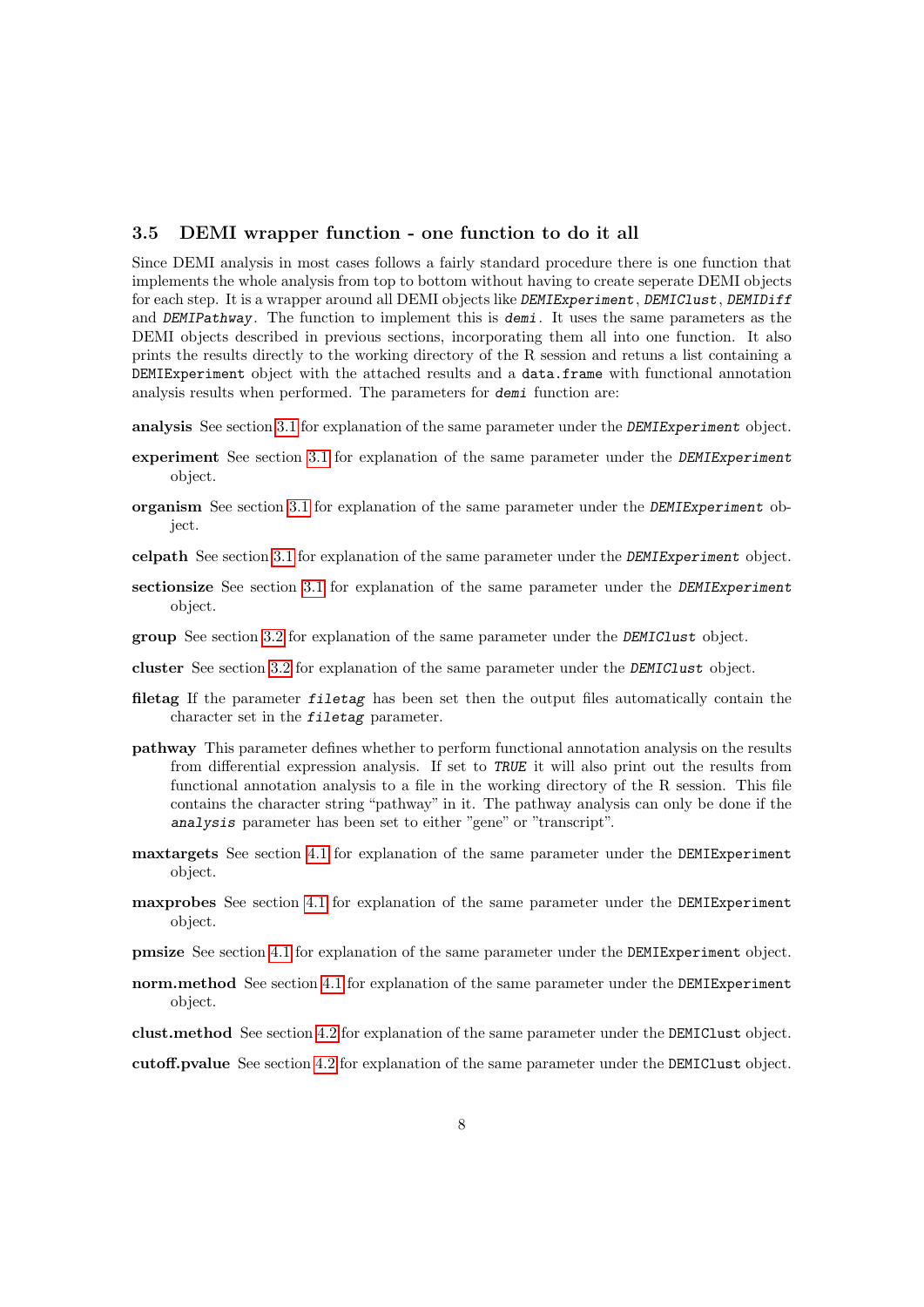#### <span id="page-7-0"></span>3.5 DEMI wrapper function - one function to do it all

Since DEMI analysis in most cases follows a fairly standard procedure there is one function that implements the whole analysis from top to bottom without having to create seperate DEMI objects for each step. It is a wrapper around all DEMI objects like DEMIExperiment, DEMIClust, DEMIDiff and DEMIPathway. The function to implement this is demi. It uses the same parameters as the DEMI objects described in previous sections, incorporating them all into one function. It also prints the results directly to the working directory of the R session and retuns a list containing a DEMIExperiment object with the attached results and a data.frame with functional annotation analysis results when performed. The parameters for demi function are:

analysis See section [3.1](#page-3-1) for explanation of the same parameter under the DEMIExperiment object.

- experiment See section [3.1](#page-3-1) for explanation of the same parameter under the DEMIExperiment object.
- organism See section [3.1](#page-3-1) for explanation of the same parameter under the DEMIExperiment object.
- celpath See section [3.1](#page-3-1) for explanation of the same parameter under the DEMIExperiment object.
- sectionsize See section [3.1](#page-3-1) for explanation of the same parameter under the DEMIExperiment object.
- group See section [3.2](#page-4-0) for explanation of the same parameter under the DEMIClust object.
- cluster See section [3.2](#page-4-0) for explanation of the same parameter under the DEMIClust object.
- filetag If the parameter *filetag* has been set then the output files automatically contain the character set in the filetag parameter.
- pathway This parameter defines whether to perform functional annotation analysis on the results from differential expression analysis. If set to TRUE it will also print out the results from functional annotation analysis to a file in the working directory of the R session. This file contains the character string "pathway" in it. The pathway analysis can only be done if the analysis parameter has been set to either "gene" or "transcript".
- maxtargets See section [4.1](#page-11-2) for explanation of the same parameter under the DEMIExperiment object.
- maxprobes See section [4.1](#page-11-2) for explanation of the same parameter under the DEMIExperiment object.
- pmsize See section [4.1](#page-11-2) for explanation of the same parameter under the DEMIExperiment object.
- norm.method See section [4.1](#page-11-2) for explanation of the same parameter under the DEMIExperiment object.
- clust.method See section [4.2](#page-14-0) for explanation of the same parameter under the DEMIClust object.

cutoff.pvalue See section [4.2](#page-14-0) for explanation of the same parameter under the DEMIClust object.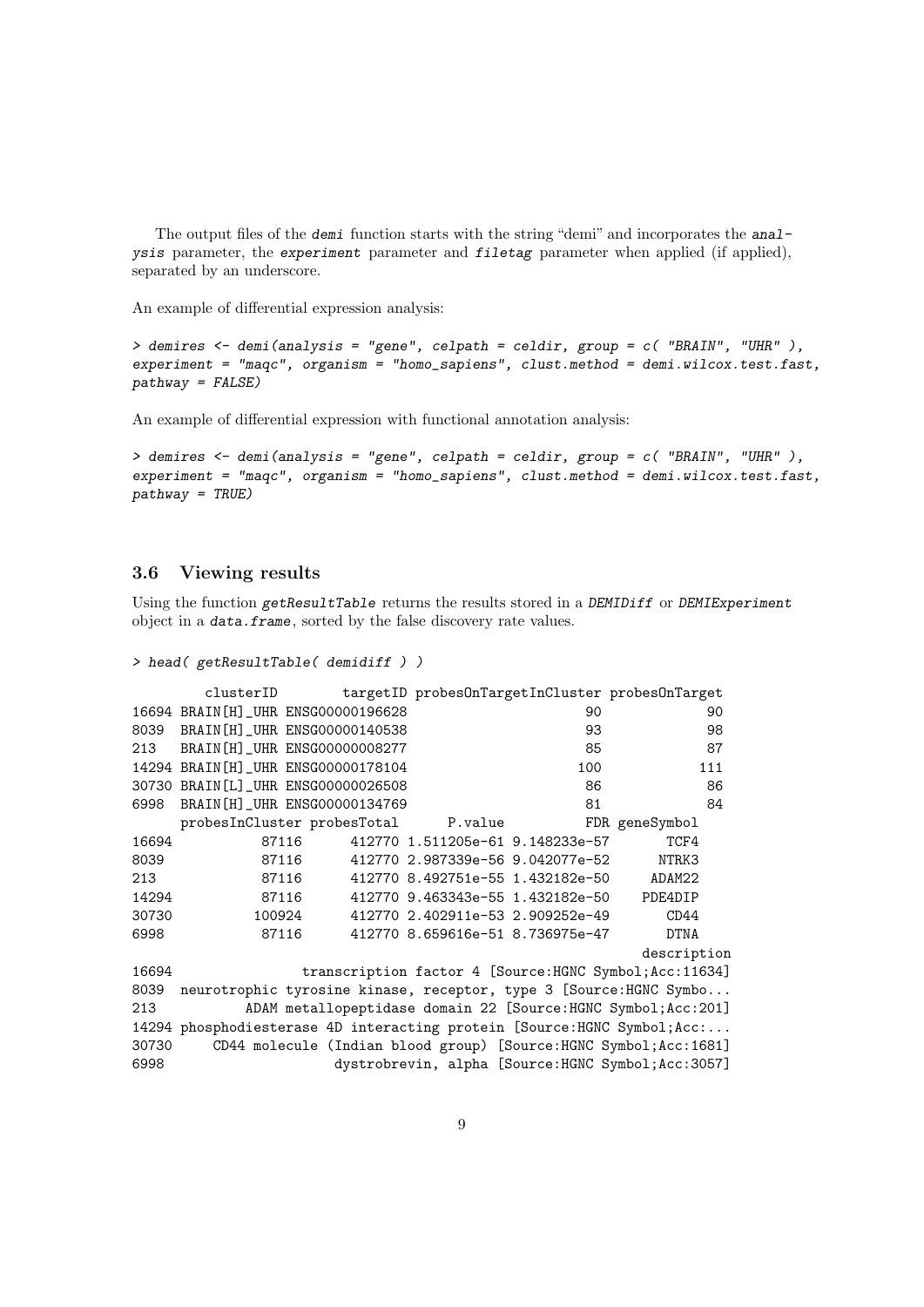The output files of the demi function starts with the string "demi" and incorporates the analysis parameter, the experiment parameter and filetag parameter when applied (if applied), separated by an underscore.

An example of differential expression analysis:

```
> demires <- demi(analysis = "gene", celpath = celdir, group = c( "BRAIN", "UHR" ),
experiment = "maqc", organism = "homo_sapiens", clust.method = demi.wilcox.test.fast,
pathway = FALSE)
```
An example of differential expression with functional annotation analysis:

```
> demires <- demi(analysis = "gene", celpath = celdir, group = c( "BRAIN", "UHR" ),
experiment = "maqc", organism = "homo_sapiens", clust.method = demi.wilcox.test.fast,
pathway = TRUE)
```
#### <span id="page-8-0"></span>3.6 Viewing results

Using the function getResultTable returns the results stored in a DEMIDiff or DEMIExperiment object in a data.frame, sorted by the false discovery rate values.

```
> head( getResultTable( demidiff ) )
```

|       |                                                                          |       |  |  |                                  | clusterID targetID probesOnTargetInCluster probesOnTarget          |  |
|-------|--------------------------------------------------------------------------|-------|--|--|----------------------------------|--------------------------------------------------------------------|--|
|       | 16694 BRAIN [H] _UHR ENSG00000196628                                     |       |  |  | 90                               | 90                                                                 |  |
| 8039  | BRAIN [H] _UHR ENSG00000140538                                           |       |  |  | 93                               | 98                                                                 |  |
| 213   | BRAIN [H] UHR ENSG00000008277                                            |       |  |  | 85                               | 87                                                                 |  |
|       | 14294 BRAIN [H]_UHR ENSG00000178104                                      |       |  |  | 100                              | 111                                                                |  |
|       | 30730 BRAIN [L]_UHR ENSG00000026508                                      |       |  |  | 86                               | 86                                                                 |  |
| 6998  | BRAIN [H] _ UHR ENSG00000134769                                          |       |  |  | 81                               | 84                                                                 |  |
|       | probesInCluster probesTotal P.value                                      |       |  |  |                                  | FDR geneSymbol                                                     |  |
| 16694 |                                                                          | 87116 |  |  | 412770 1.511205e-61 9.148233e-57 | TCF4                                                               |  |
| 8039  |                                                                          | 87116 |  |  |                                  | NTRK3                                                              |  |
| 213   | 87116                                                                    |       |  |  | 412770 8.492751e-55 1.432182e-50 | ADAM22                                                             |  |
| 14294 | 87116                                                                    |       |  |  | 412770 9.463343e-55 1.432182e-50 | PDE4DIP                                                            |  |
| 30730 | 100924                                                                   |       |  |  | 412770 2.402911e-53 2.909252e-49 | CD44                                                               |  |
| 6998  | 87116                                                                    |       |  |  | 412770 8.659616e-51 8.736975e-47 | <b>DTNA</b>                                                        |  |
|       |                                                                          |       |  |  |                                  | description                                                        |  |
| 16694 | transcription factor 4 [Source: HGNC Symbol; Acc: 11634]                 |       |  |  |                                  |                                                                    |  |
| 8039  | neurotrophic tyrosine kinase, receptor, type 3 [Source:HGNC Symbo        |       |  |  |                                  |                                                                    |  |
| 213   | ADAM metallopeptidase domain 22 [Source:HGNC Symbol; Acc: 201]           |       |  |  |                                  |                                                                    |  |
|       | 14294 phosphodiesterase 4D interacting protein [Source:HGNC Symbol; Acc: |       |  |  |                                  |                                                                    |  |
| 30730 |                                                                          |       |  |  |                                  | CD44 molecule (Indian blood group) [Source:HGNC Symbol; Acc: 1681] |  |
| 6998  |                                                                          |       |  |  |                                  | dystrobrevin, alpha [Source: HGNC Symbol; Acc: 3057]               |  |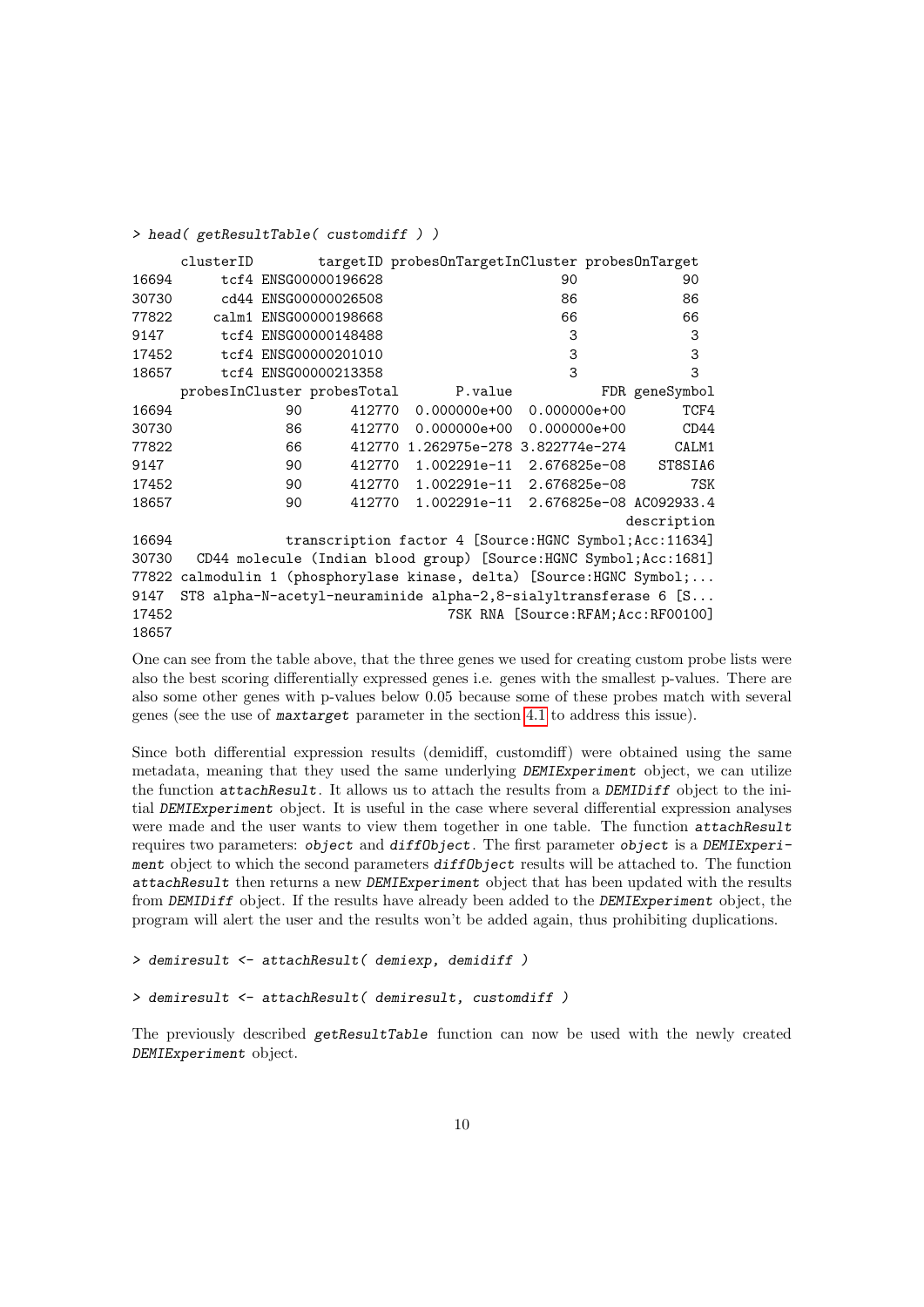|       | clusterID                   |                       |        | targetID probesOnTargetInCluster probesOnTarget                       |                                      |                |
|-------|-----------------------------|-----------------------|--------|-----------------------------------------------------------------------|--------------------------------------|----------------|
| 16694 |                             | tcf4 ENSG00000196628  |        |                                                                       | 90                                   | 90             |
| 30730 |                             | cd44 ENSG00000026508  |        |                                                                       | 86                                   | 86             |
| 77822 |                             | calm1 ENSG00000198668 |        |                                                                       | 66                                   | 66             |
| 9147  |                             | tcf4 ENSG00000148488  |        |                                                                       | 3                                    | 3              |
| 17452 |                             | tcf4 ENSG00000201010  |        |                                                                       | 3                                    | 3              |
| 18657 |                             | tcf4 ENSG00000213358  |        |                                                                       | 3                                    | 3              |
|       | probesInCluster probesTotal |                       |        | P.value                                                               |                                      | FDR geneSymbol |
| 16694 |                             | 90                    | 412770 |                                                                       | $0.000000e+00$ 0.00000e+00           | TCF4           |
| 30730 |                             | 86                    | 412770 |                                                                       | $0.000000e+00$ 0.000000 $e+00$       | CD44           |
| 77822 |                             | 66                    |        | 412770 1.262975e-278 3.822774e-274                                    |                                      | CALM1          |
| 9147  |                             | 90                    |        | 412770 1.002291e-11 2.676825e-08                                      |                                      | ST8SIA6        |
| 17452 |                             | 90                    | 412770 |                                                                       | 1.002291e-11 2.676825e-08            | 7SK            |
| 18657 |                             | 90                    | 412770 |                                                                       |                                      |                |
|       |                             |                       |        |                                                                       |                                      | description    |
| 16694 |                             |                       |        | transcription factor 4 [Source: HGNC Symbol; Acc: 11634]              |                                      |                |
| 30730 |                             |                       |        | CD44 molecule (Indian blood group) [Source:HGNC Symbol; Acc: 1681]    |                                      |                |
|       |                             |                       |        | 77822 calmodulin 1 (phosphorylase kinase, delta) [Source:HGNC Symbol; |                                      |                |
| 9147  |                             |                       |        | ST8 alpha-N-acetyl-neuraminide alpha-2,8-sialyltransferase 6 [S       |                                      |                |
| 17452 |                             |                       |        |                                                                       | 7SK RNA [Source: RFAM; Acc: RF00100] |                |
| 18657 |                             |                       |        |                                                                       |                                      |                |

> head( getResultTable( customdiff ) )

One can see from the table above, that the three genes we used for creating custom probe lists were also the best scoring differentially expressed genes i.e. genes with the smallest p-values. There are also some other genes with p-values below 0.05 because some of these probes match with several genes (see the use of maxtarget parameter in the section [4.1](#page-11-2) to address this issue).

Since both differential expression results (demidiff, customdiff) were obtained using the same metadata, meaning that they used the same underlying DEMIExperiment object, we can utilize the function attachResult. It allows us to attach the results from a DEMIDiff object to the initial DEMIExperiment object. It is useful in the case where several differential expression analyses were made and the user wants to view them together in one table. The function attachResult requires two parameters: object and diffObject. The first parameter object is a DEMIExperiment object to which the second parameters diffObject results will be attached to. The function attachResult then returns a new DEMIExperiment object that has been updated with the results from DEMIDiff object. If the results have already been added to the DEMIExperiment object, the program will alert the user and the results won't be added again, thus prohibiting duplications.

> demiresult <- attachResult( demiexp, demidiff )

> demiresult <- attachResult( demiresult, customdiff )

The previously described getResultTable function can now be used with the newly created DEMIExperiment object.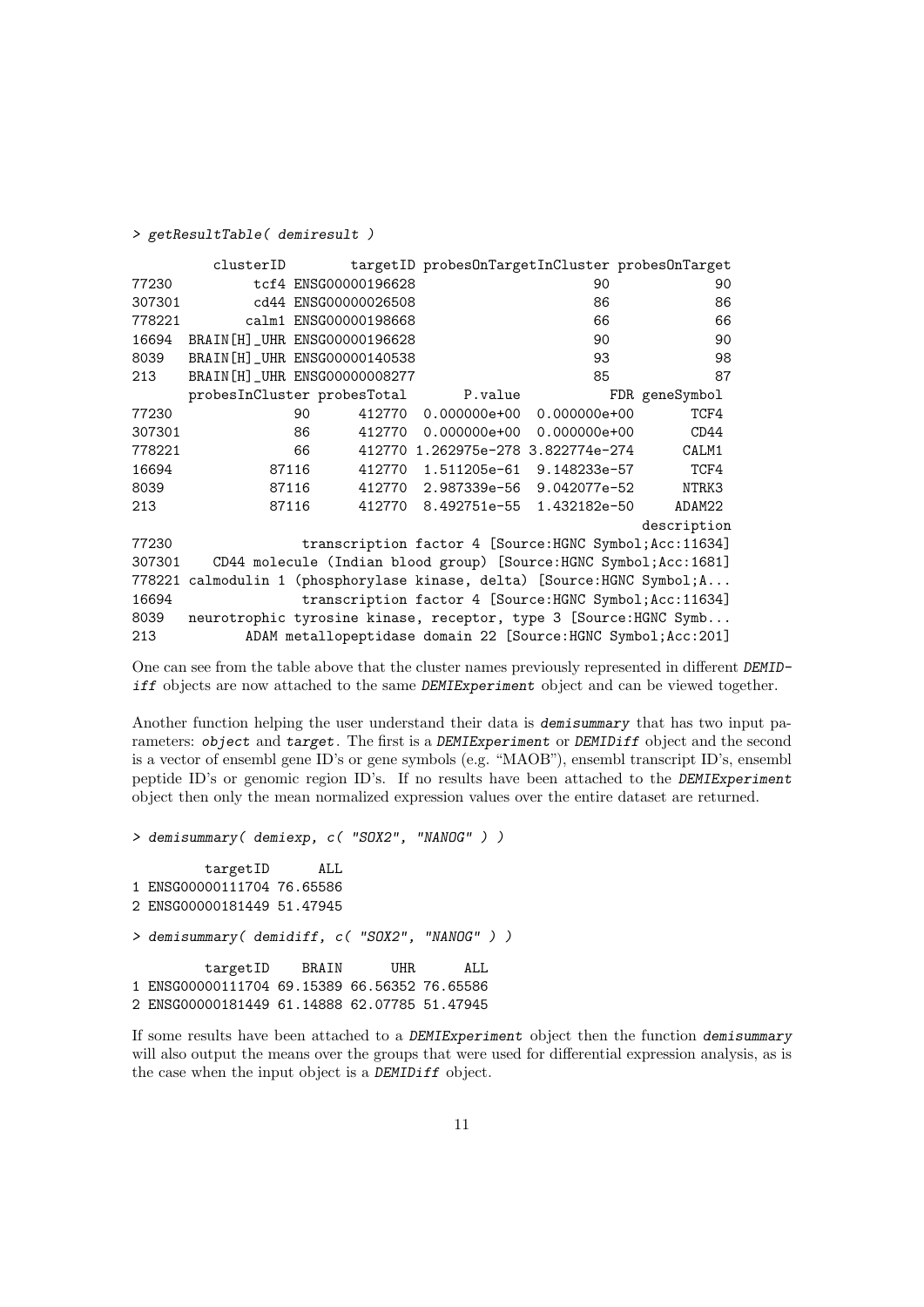> getResultTable( demiresult )

|        | clusterID                       |    |                       | targetID probesOnTargetInCluster probesOnTarget                            |                  |                |
|--------|---------------------------------|----|-----------------------|----------------------------------------------------------------------------|------------------|----------------|
| 77230  |                                 |    | tcf4 ENSG00000196628  |                                                                            | 90               | 90             |
| 307301 |                                 |    | cd44 ENSG00000026508  |                                                                            | 86               | 86             |
| 778221 |                                 |    | calm1 ENSG00000198668 |                                                                            | 66               | 66             |
| 16694  | BRAIN [H] _ UHR ENSG00000196628 |    |                       |                                                                            | 90               | 90             |
| 8039   | BRAIN [H] _ UHR ENSG00000140538 |    |                       |                                                                            | 93               | 98             |
| 213    | BRAIN [H] _ UHR ENSG00000008277 |    |                       |                                                                            | 85               | 87             |
|        | probesInCluster probesTotal     |    |                       | P.value                                                                    |                  | FDR geneSymbol |
| 77230  |                                 | 90 | 412770                | $0.000000e+00$                                                             | $0.000000e+00$   | TCF4           |
| 307301 |                                 | 86 | 412770                | $0.000000e+00$                                                             | $0.000000e + 00$ | CD44           |
| 778221 |                                 | 66 |                       | 412770 1.262975e-278 3.822774e-274                                         |                  | CALM1          |
| 16694  | 87116                           |    | 412770                | 1.511205e-61                                                               | 9.148233e-57     | TCF4           |
| 8039   | 87116                           |    | 412770                | 2.987339e-56                                                               | 9.042077e-52     | NTRK3          |
| 213    | 87116                           |    | 412770                | 8.492751e-55                                                               | 1.432182e-50     | ADAM22         |
|        |                                 |    |                       |                                                                            |                  | description    |
| 77230  |                                 |    |                       | transcription factor 4 [Source: HGNC Symbol; Acc: 11634]                   |                  |                |
| 307301 |                                 |    |                       | CD44 molecule (Indian blood group) [Source:HGNC Symbol;Acc:1681]           |                  |                |
| 778221 |                                 |    |                       | calmodulin 1 (phosphorylase kinase, delta) [Source: HGNC Symbol; $A \dots$ |                  |                |
| 16694  |                                 |    |                       | transcription factor 4 [Source: HGNC Symbol; Acc: 11634]                   |                  |                |
| 8039   |                                 |    |                       | neurotrophic tyrosine kinase, receptor, type 3 [Source:HGNC Symb           |                  |                |
| 213    |                                 |    |                       | ADAM metallopeptidase domain 22 [Source:HGNC Symbol; Acc: 201]             |                  |                |

One can see from the table above that the cluster names previously represented in different DEMIDiff objects are now attached to the same DEMIExperiment object and can be viewed together.

Another function helping the user understand their data is *demisummary* that has two input parameters: object and target. The first is a DEMIExperiment or DEMIDiff object and the second is a vector of ensembl gene ID's or gene symbols (e.g. "MAOB"), ensembl transcript ID's, ensembl peptide ID's or genomic region ID's. If no results have been attached to the DEMIExperiment object then only the mean normalized expression values over the entire dataset are returned.

```
> demisummary( demiexp, c( "SOX2", "NANOG" ) )
        targetID ALL
1 ENSG00000111704 76.65586
2 ENSG00000181449 51.47945
> demisummary( demidiff, c( "SOX2", "NANOG" ) )
        targetID BRAIN UHR ALL
1 ENSG00000111704 69.15389 66.56352 76.65586
2 ENSG00000181449 61.14888 62.07785 51.47945
```
If some results have been attached to a DEMIExperiment object then the function demisummary will also output the means over the groups that were used for differential expression analysis, as is the case when the input object is a DEMIDiff object.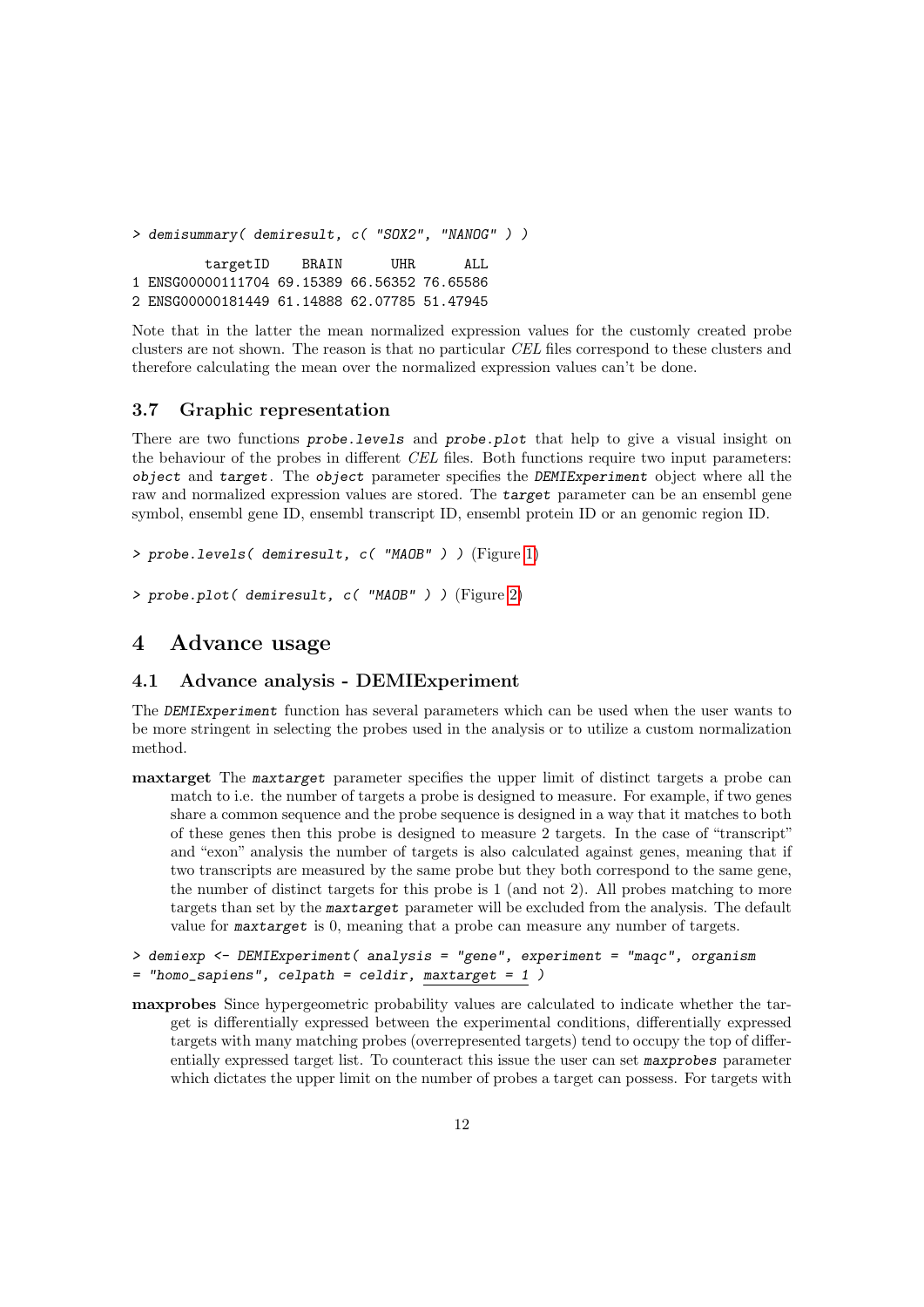> demisummary( demiresult, c( "SOX2", "NANOG" ) ) targetID BRAIN UHR ALL 1 ENSG00000111704 69.15389 66.56352 76.65586 2 ENSG00000181449 61.14888 62.07785 51.47945

Note that in the latter the mean normalized expression values for the customly created probe clusters are not shown. The reason is that no particular CEL files correspond to these clusters and therefore calculating the mean over the normalized expression values can't be done.

#### <span id="page-11-0"></span>3.7 Graphic representation

There are two functions **probe.** Levels and **probe. plot** that help to give a visual insight on the behaviour of the probes in different CEL files. Both functions require two input parameters: object and target. The object parameter specifies the DEMIExperiment object where all the raw and normalized expression values are stored. The target parameter can be an ensembl gene symbol, ensembl gene ID, ensembl transcript ID, ensembl protein ID or an genomic region ID.

```
> probe.levels( demiresult, c( "MAOB" ) ) (Figure 1)
```

```
> probe.plot( demiresult, c( "MAOB" ) ) (Figure 2)
```
### <span id="page-11-1"></span>4 Advance usage

#### <span id="page-11-2"></span>4.1 Advance analysis - DEMIExperiment

The DEMIExperiment function has several parameters which can be used when the user wants to be more stringent in selecting the probes used in the analysis or to utilize a custom normalization method.

maxtarget The maxtarget parameter specifies the upper limit of distinct targets a probe can match to i.e. the number of targets a probe is designed to measure. For example, if two genes share a common sequence and the probe sequence is designed in a way that it matches to both of these genes then this probe is designed to measure 2 targets. In the case of "transcript" and "exon" analysis the number of targets is also calculated against genes, meaning that if two transcripts are measured by the same probe but they both correspond to the same gene, the number of distinct targets for this probe is 1 (and not 2). All probes matching to more targets than set by the maxtarget parameter will be excluded from the analysis. The default value for maxtarget is 0, meaning that a probe can measure any number of targets.

```
> demiexp <- DEMIExperiment( analysis = "gene", experiment = "maqc", organism
= "homo_sapiens", celpath = celdir, maxtarget = 1 )
```
maxprobes Since hypergeometric probability values are calculated to indicate whether the target is differentially expressed between the experimental conditions, differentially expressed targets with many matching probes (overrepresented targets) tend to occupy the top of differentially expressed target list. To counteract this issue the user can set maxprobes parameter which dictates the upper limit on the number of probes a target can possess. For targets with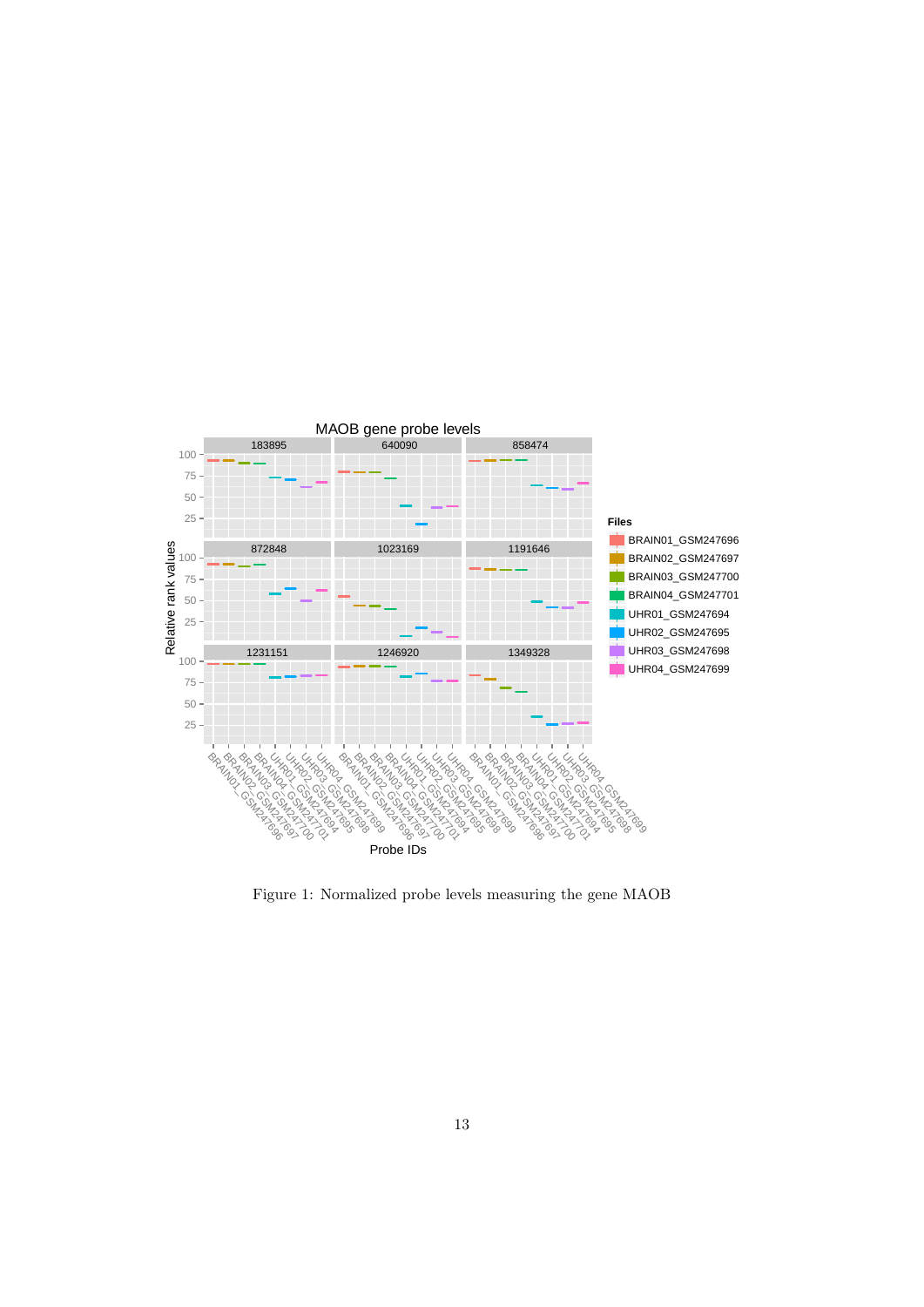

<span id="page-12-0"></span>Figure 1: Normalized probe levels measuring the gene MAOB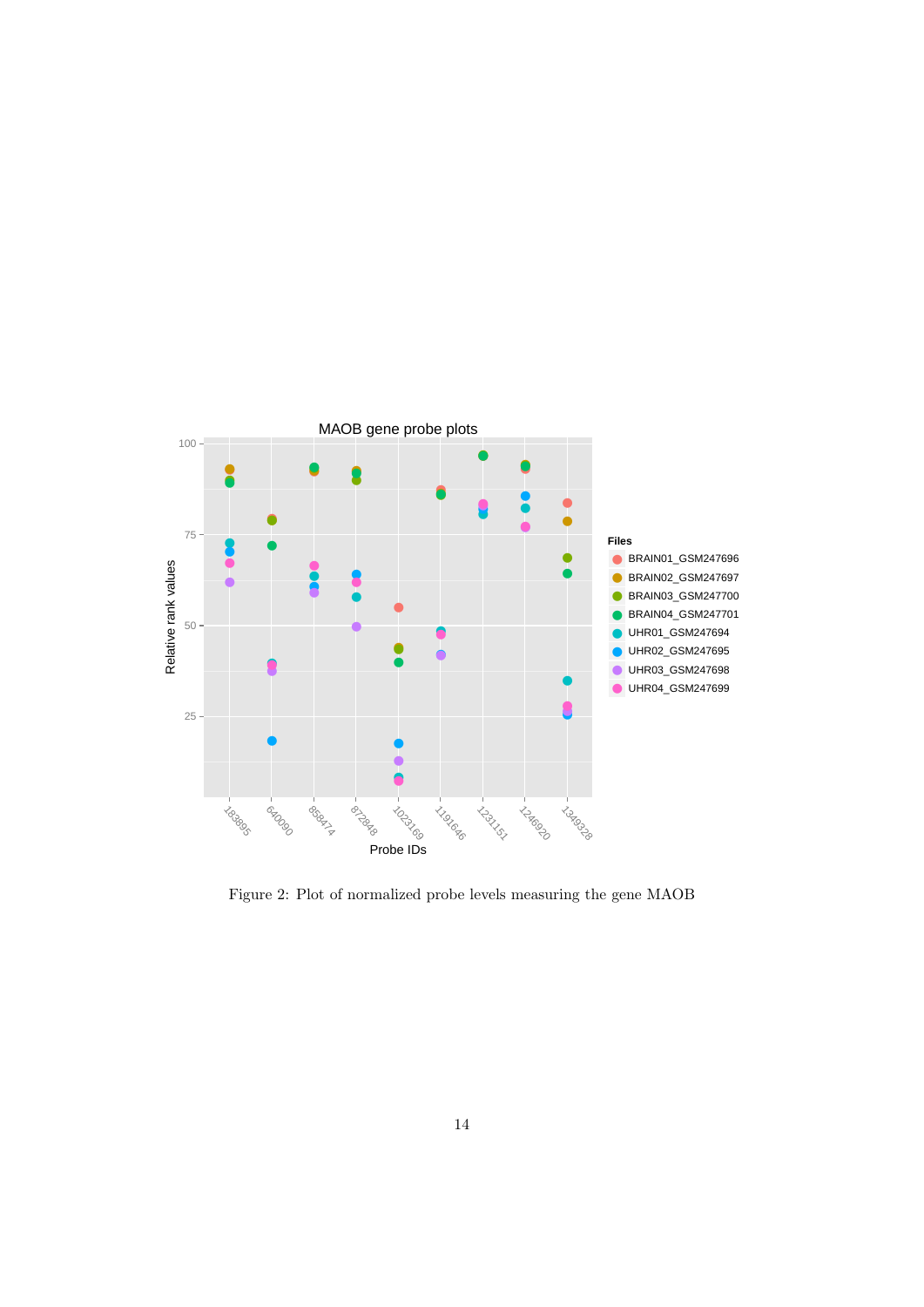

<span id="page-13-0"></span>Figure 2: Plot of normalized probe levels measuring the gene MAOB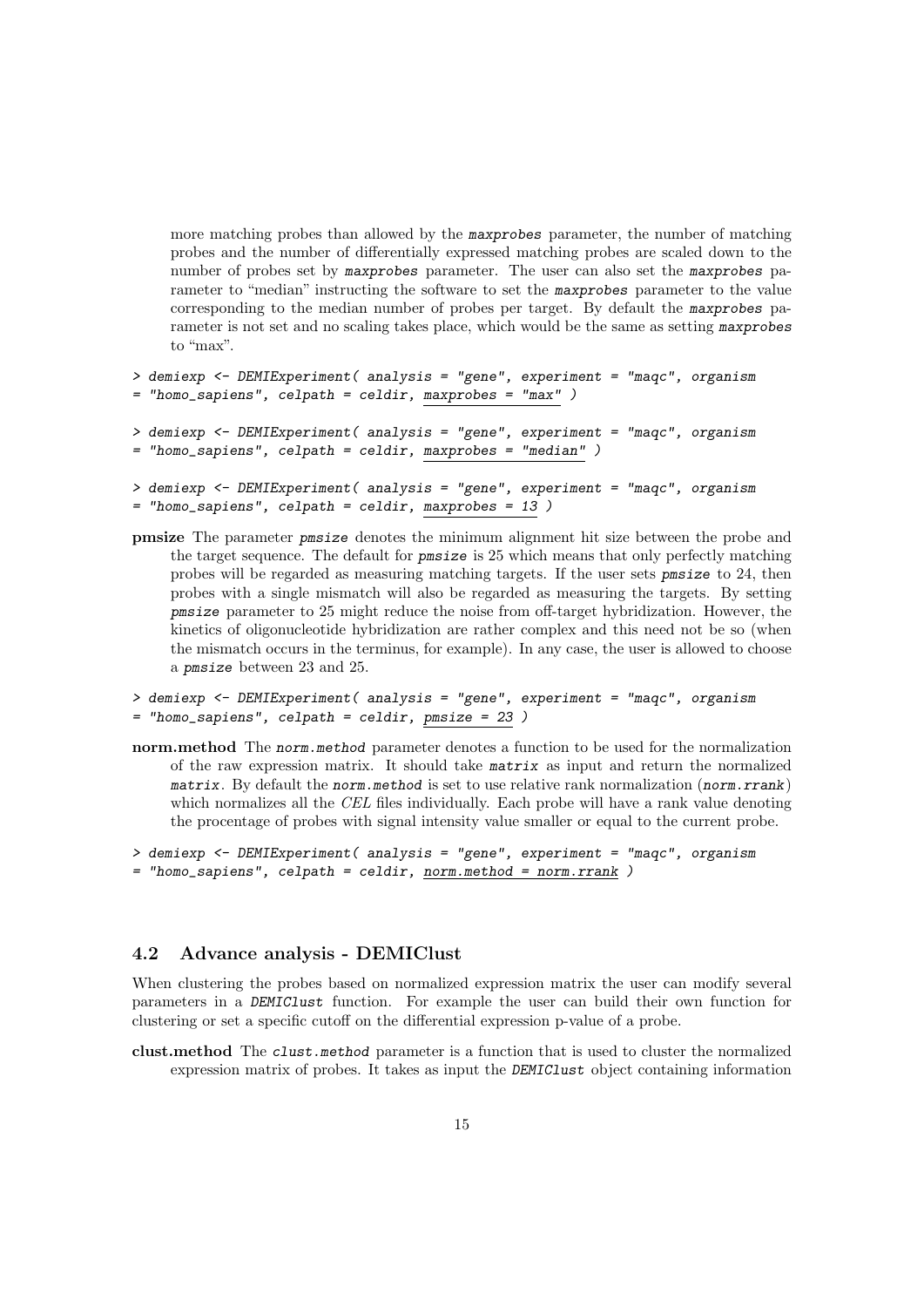more matching probes than allowed by the maxprobes parameter, the number of matching probes and the number of differentially expressed matching probes are scaled down to the number of probes set by maxprobes parameter. The user can also set the maxprobes parameter to "median" instructing the software to set the maxprobes parameter to the value corresponding to the median number of probes per target. By default the maxprobes parameter is not set and no scaling takes place, which would be the same as setting maxprobes to "max".

```
> demiexp <- DEMIExperiment( analysis = "gene", experiment = "maqc", organism
= "homo_sapiens", celpath = celdir, maxprobes = "max" )
> demiexp <- DEMIExperiment( analysis = "gene", experiment = "maqc", organism
= "homo_sapiens", celpath = celdir, maxprobes = "median" )
> demiexp <- DEMIExperiment( analysis = "gene", experiment = "maqc", organism
= "homo_sapiens", celpath = celdir, maxprobes = 13)
```
pmsize The parameter pmsize denotes the minimum alignment hit size between the probe and the target sequence. The default for pmsize is 25 which means that only perfectly matching probes will be regarded as measuring matching targets. If the user sets pmsize to 24, then probes with a single mismatch will also be regarded as measuring the targets. By setting pmsize parameter to 25 might reduce the noise from off-target hybridization. However, the kinetics of oligonucleotide hybridization are rather complex and this need not be so (when the mismatch occurs in the terminus, for example). In any case, the user is allowed to choose a pmsize between 23 and 25.

```
> demiexp <- DEMIExperiment( analysis = "gene", experiment = "maqc", organism
= "homo_sapiens", celpath = celdir, pmsize = 23 )
```
- norm.method The norm.method parameter denotes a function to be used for the normalization of the raw expression matrix. It should take matrix as input and return the normalized matrix. By default the norm method is set to use relative rank normalization (norm.rrank) which normalizes all the CEL files individually. Each probe will have a rank value denoting the procentage of probes with signal intensity value smaller or equal to the current probe.
- > demiexp <- DEMIExperiment( analysis = "gene", experiment = "maqc", organism = "homo\_sapiens", celpath = celdir, norm.method = norm.rrank )

#### <span id="page-14-0"></span>4.2 Advance analysis - DEMIClust

When clustering the probes based on normalized expression matrix the user can modify several parameters in a DEMIClust function. For example the user can build their own function for clustering or set a specific cutoff on the differential expression p-value of a probe.

clust.method The clust.method parameter is a function that is used to cluster the normalized expression matrix of probes. It takes as input the DEMIClust object containing information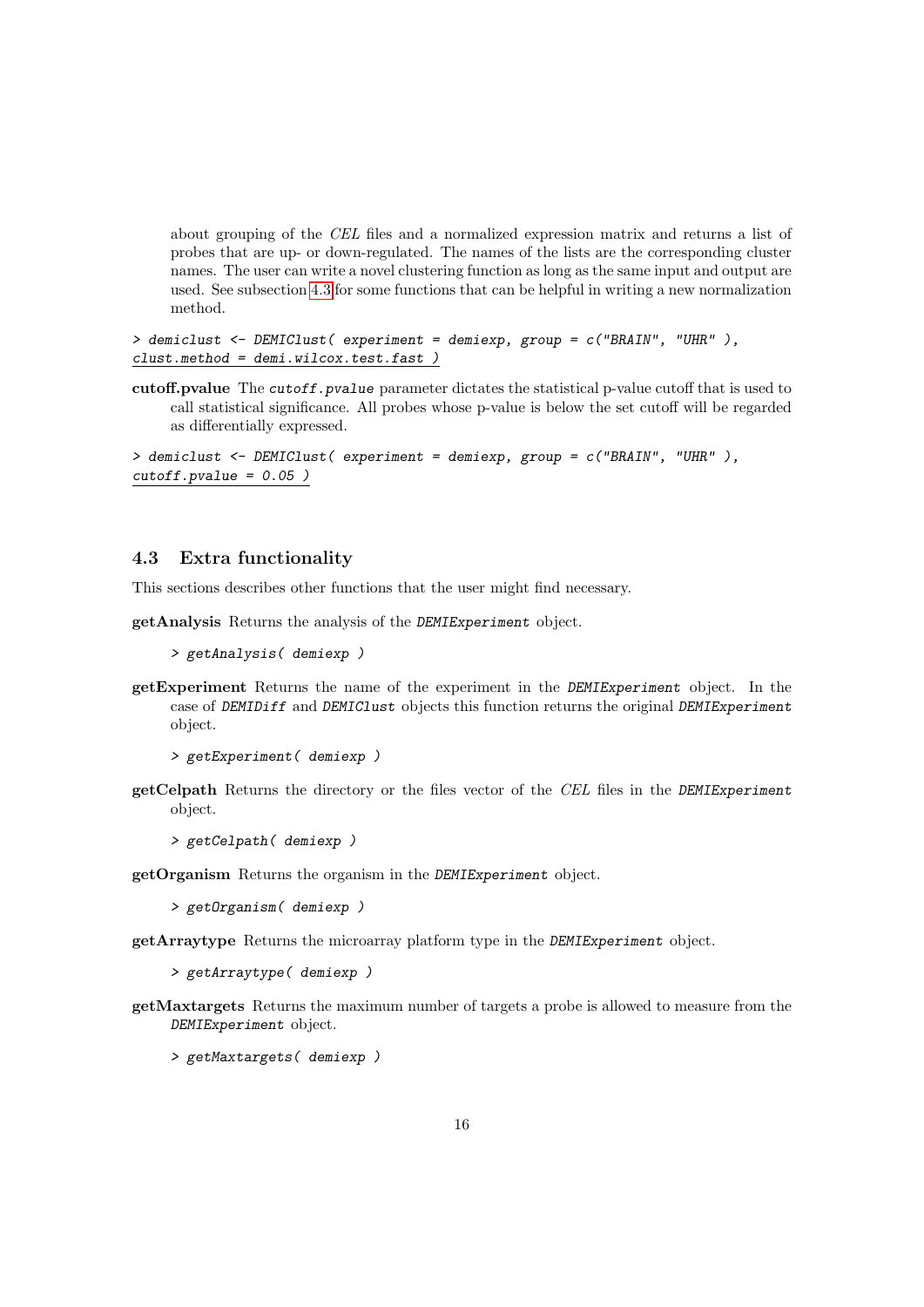about grouping of the CEL files and a normalized expression matrix and returns a list of probes that are up- or down-regulated. The names of the lists are the corresponding cluster names. The user can write a novel clustering function as long as the same input and output are used. See subsection [4.3](#page-15-0) for some functions that can be helpful in writing a new normalization method.

```
> demiclust <- DEMIClust( experiment = demiexp, group = c("BRAIN", "UHR" ),
clust.method = demi.wilcox.test.fast )
```
cutoff.pvalue The cutoff.pvalue parameter dictates the statistical p-value cutoff that is used to call statistical significance. All probes whose p-value is below the set cutoff will be regarded as differentially expressed.

```
> demiclust <- DEMIClust( experiment = demiexp, group = c("BRAIN", "UHR" ),
cutoff.pvalue = 0.05 )
```
#### <span id="page-15-0"></span>4.3 Extra functionality

This sections describes other functions that the user might find necessary.

getAnalysis Returns the analysis of the DEMIExperiment object.

```
> getAnalysis( demiexp )
```
getExperiment Returns the name of the experiment in the DEMIExperiment object. In the case of DEMIDiff and DEMIClust objects this function returns the original DEMIExperiment object.

```
> getExperiment( demiexp )
```
getCelpath Returns the directory or the files vector of the CEL files in the DEMIExperiment object.

```
> getCelpath( demiexp )
```
getOrganism Returns the organism in the DEMIExperiment object.

> getOrganism( demiexp )

getArraytype Returns the microarray platform type in the DEMIExperiment object.

> getArraytype( demiexp )

getMaxtargets Returns the maximum number of targets a probe is allowed to measure from the DEMIExperiment object.

> getMaxtargets( demiexp )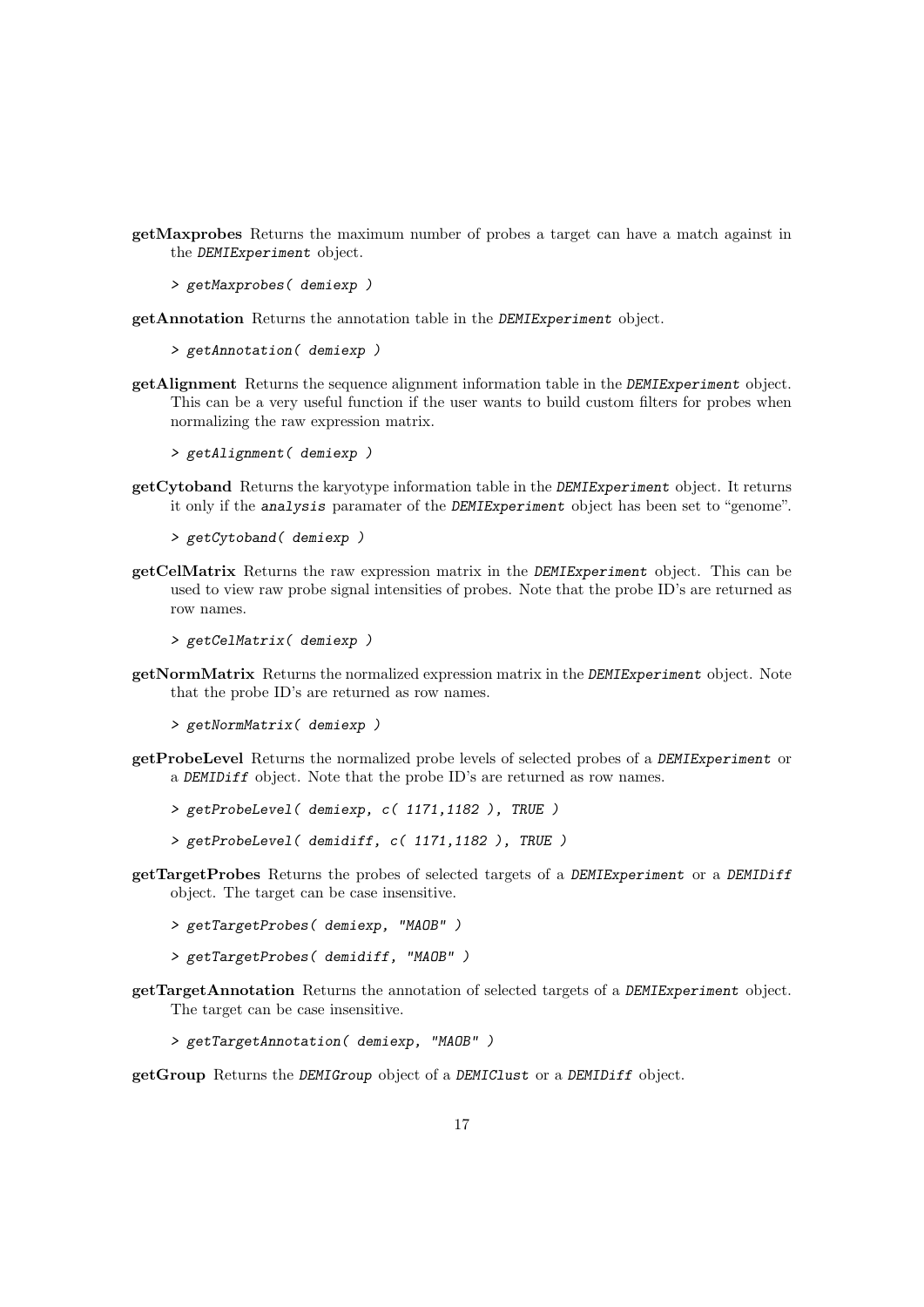- getMaxprobes Returns the maximum number of probes a target can have a match against in the DEMIExperiment object.
	- > getMaxprobes( demiexp )
- getAnnotation Returns the annotation table in the DEMIExperiment object.
	- > getAnnotation( demiexp )
- getAlignment Returns the sequence alignment information table in the DEMIExperiment object. This can be a very useful function if the user wants to build custom filters for probes when normalizing the raw expression matrix.
	- > getAlignment( demiexp )
- getCytoband Returns the karyotype information table in the DEMIExperiment object. It returns it only if the analysis paramater of the DEMIExperiment object has been set to "genome".
	- > getCytoband( demiexp )
- getCelMatrix Returns the raw expression matrix in the DEMIExperiment object. This can be used to view raw probe signal intensities of probes. Note that the probe ID's are returned as row names.

```
> getCelMatrix( demiexp )
```
- getNormMatrix Returns the normalized expression matrix in the DEMIExperiment object. Note that the probe ID's are returned as row names.
	- > getNormMatrix( demiexp )
- getProbeLevel Returns the normalized probe levels of selected probes of a DEMIExperiment or a DEMIDiff object. Note that the probe ID's are returned as row names.
	- > getProbeLevel( demiexp, c( 1171,1182 ), TRUE )
	- > getProbeLevel( demidiff, c( 1171,1182 ), TRUE )
- getTargetProbes Returns the probes of selected targets of a DEMIExperiment or a DEMIDiff object. The target can be case insensitive.
	- > getTargetProbes( demiexp, "MAOB" )
	- > getTargetProbes( demidiff, "MAOB" )
- getTargetAnnotation Returns the annotation of selected targets of a DEMIExperiment object. The target can be case insensitive.
	- > getTargetAnnotation( demiexp, "MAOB" )

getGroup Returns the DEMIGroup object of a DEMIClust or a DEMIDiff object.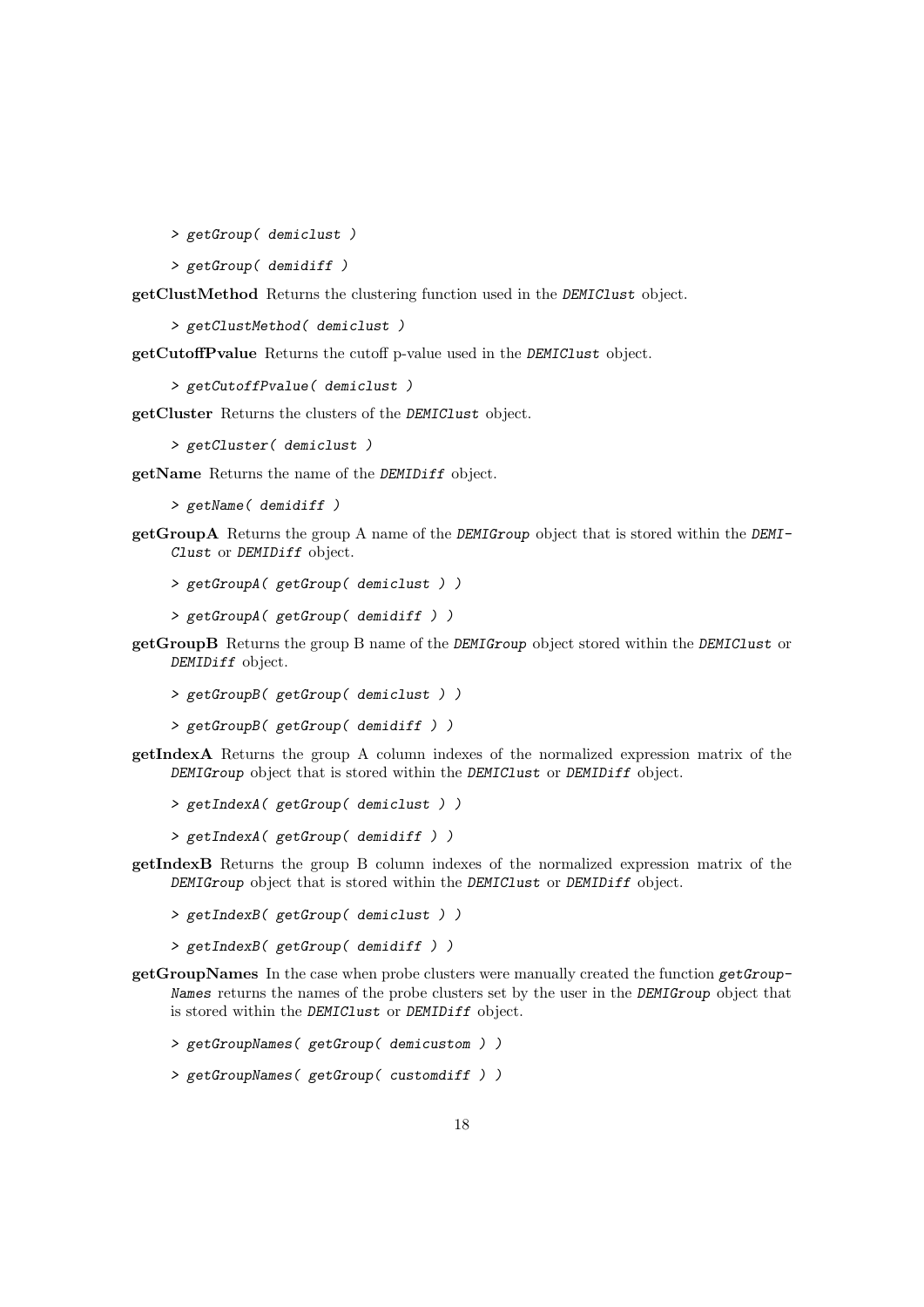> getGroup( demiclust )

> getGroup( demidiff )

getClustMethod Returns the clustering function used in the DEMIClust object.

> getClustMethod( demiclust )

getCutoffPvalue Returns the cutoff p-value used in the DEMIClust object.

> getCutoffPvalue( demiclust )

getCluster Returns the clusters of the DEMIClust object.

> getCluster( demiclust )

getName Returns the name of the DEMIDiff object.

> getName( demidiff )

- getGroupA Returns the group A name of the DEMIGroup object that is stored within the DEMI-Clust or DEMIDiff object.
	- > getGroupA( getGroup( demiclust ) )
	- > getGroupA( getGroup( demidiff ) )
- getGroupB Returns the group B name of the DEMIGroup object stored within the DEMIClust or DEMIDiff object.
	- > getGroupB( getGroup( demiclust ) )
	- > getGroupB( getGroup( demidiff ) )
- getIndexA Returns the group A column indexes of the normalized expression matrix of the DEMIGroup object that is stored within the DEMIClust or DEMIDiff object.
	- > getIndexA( getGroup( demiclust ) )
	- > getIndexA( getGroup( demidiff ) )
- getIndexB Returns the group B column indexes of the normalized expression matrix of the DEMIGroup object that is stored within the DEMIClust or DEMIDiff object.
	- > getIndexB( getGroup( demiclust ) )
	- > getIndexB( getGroup( demidiff ) )
- getGroupNames In the case when probe clusters were manually created the function getGroup-Names returns the names of the probe clusters set by the user in the DEMIGroup object that is stored within the DEMIClust or DEMIDiff object.

> getGroupNames( getGroup( demicustom ) )

> getGroupNames( getGroup( customdiff ) )